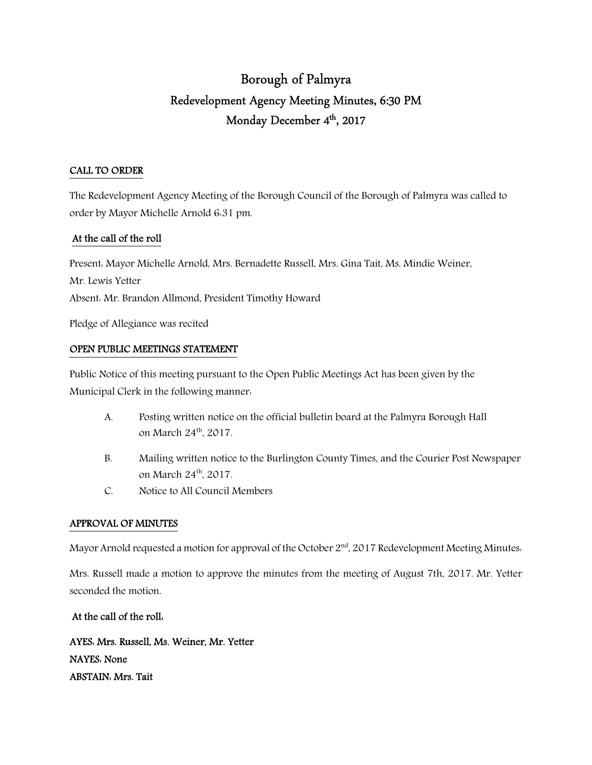# Borough of Palmyra Redevelopment Agency Meeting Minutes, 6:30 PM Monday December 4<sup>th</sup>, 2017

# CALL TO ORDER

The Redevelopment Agency Meeting of the Borough Council of the Borough of Palmyra was called to order by Mayor Michelle Arnold 6:31 pm.

# At the call of the roll

Present: Mayor Michelle Arnold, Mrs. Bernadette Russell, Mrs. Gina Tait, Ms. Mindie Weiner, Mr. Lewis Yetter Absent: Mr. Brandon Allmond, President Timothy Howard Pledge of Allegiance was recited

# OPEN PUBLIC MEETINGS STATEMENT

Public Notice of this meeting pursuant to the Open Public Meetings Act has been given by the Municipal Clerk in the following manner:

- A. Posting written notice on the official bulletin board at the Palmyra Borough Hall on March 24th, 2017.
- B. Mailing written notice to the Burlington County Times, and the Courier Post Newspaper on March 24<sup>th</sup>, 2017.
- C. Notice to All Council Members

# APPROVAL OF MINUTES

Mayor Arnold requested a motion for approval of the October  $2<sup>nd</sup>$ , 2017 Redevelopment Meeting Minutes.

Mrs. Russell made a motion to approve the minutes from the meeting of August 7th, 2017. Mr. Yetter seconded the motion.

# At the call of the roll:

AYES: Mrs. Russell, Ms. Weiner, Mr. Yetter NAYES: None ABSTAIN: Mrs. Tait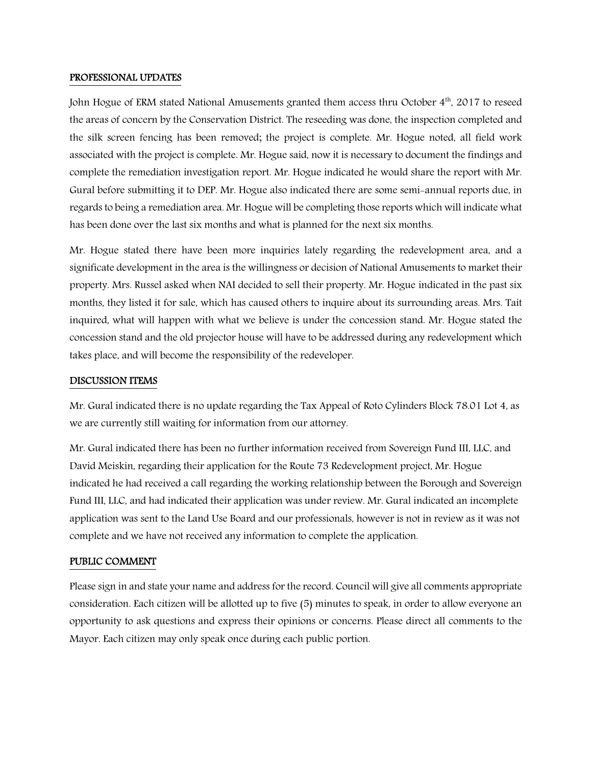#### PROFESSIONAL UPDATES

John Hogue of ERM stated National Amusements granted them access thru October  $4<sup>th</sup>$ , 2017 to reseed the areas of concern by the Conservation District. The reseeding was done, the inspection completed and the silk screen fencing has been removed; the project is complete. Mr. Hogue noted, all field work associated with the project is complete. Mr. Hogue said, now it is necessary to document the findings and complete the remediation investigation report. Mr. Hogue indicated he would share the report with Mr. Gural before submitting it to DEP. Mr. Hogue also indicated there are some semi-annual reports due, in regards to being a remediation area. Mr. Hogue will be completing those reports which will indicate what has been done over the last six months and what is planned for the next six months.

Mr. Hogue stated there have been more inquiries lately regarding the redevelopment area, and a significate development in the area is the willingness or decision of National Amusements to market their property. Mrs. Russel asked when NAI decided to sell their property. Mr. Hogue indicated in the past six months, they listed it for sale, which has caused others to inquire about its surrounding areas. Mrs. Tait inquired, what will happen with what we believe is under the concession stand. Mr. Hogue stated the concession stand and the old projector house will have to be addressed during any redevelopment which takes place, and will become the responsibility of the redeveloper.

#### DISCUSSION ITEMS

Mr. Gural indicated there is no update regarding the Tax Appeal of Roto Cylinders Block 78.01 Lot 4, as we are currently still waiting for information from our attorney.

Mr. Gural indicated there has been no further information received from Sovereign Fund III, LLC, and David Meiskin, regarding their application for the Route 73 Redevelopment project, Mr. Hogue indicated he had received a call regarding the working relationship between the Borough and Sovereign Fund III, LLC, and had indicated their application was under review. Mr. Gural indicated an incomplete application was sent to the Land Use Board and our professionals, however is not in review as it was not complete and we have not received any information to complete the application.

#### PUBLIC COMMENT

Please sign in and state your name and address for the record. Council will give all comments appropriate consideration. Each citizen will be allotted up to five (5) minutes to speak, in order to allow everyone an opportunity to ask questions and express their opinions or concerns. Please direct all comments to the Mayor. Each citizen may only speak once during each public portion.